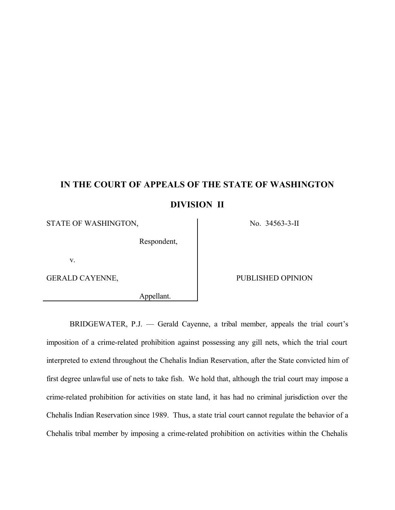# **IN THE COURT OF APPEALS OF THE STATE OF WASHINGTON DIVISION II**

STATE OF WASHINGTON, No. 34563-3-II

Respondent,

v.

Appellant.

### GERALD CAYENNE, THE PUBLISHED OPINION

BRIDGEWATER, P.J. — Gerald Cayenne, a tribal member, appeals the trial court's imposition of a crime-related prohibition against possessing any gill nets, which the trial court interpreted to extend throughout the Chehalis Indian Reservation, after the State convicted him of first degree unlawful use of nets to take fish. We hold that, although the trial court may impose a crime-related prohibition for activities on state land, it has had no criminal jurisdiction over the Chehalis Indian Reservation since 1989. Thus, a state trial court cannot regulate the behavior of a Chehalis tribal member by imposing a crime-related prohibition on activities within the Chehalis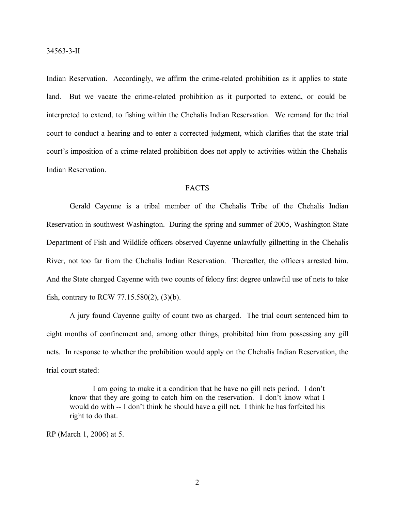Indian Reservation. Accordingly, we affirm the crime-related prohibition as it applies to state land. But we vacate the crime-related prohibition as it purported to extend, or could be interpreted to extend, to fishing within the Chehalis Indian Reservation. We remand for the trial court to conduct a hearing and to enter a corrected judgment, which clarifies that the state trial court's imposition of a crime-related prohibition does not apply to activities within the Chehalis Indian Reservation.

# **FACTS**

Gerald Cayenne is a tribal member of the Chehalis Tribe of the Chehalis Indian Reservation in southwest Washington. During the spring and summer of 2005, Washington State Department of Fish and Wildlife officers observed Cayenne unlawfully gillnetting in the Chehalis River, not too far from the Chehalis Indian Reservation. Thereafter, the officers arrested him. And the State charged Cayenne with two counts of felony first degree unlawful use of nets to take fish, contrary to RCW 77.15.580(2), (3)(b).

A jury found Cayenne guilty of count two as charged. The trial court sentenced him to eight months of confinement and, among other things, prohibited him from possessing any gill nets. In response to whether the prohibition would apply on the Chehalis Indian Reservation, the trial court stated:

I am going to make it a condition that he have no gill nets period. I don't know that they are going to catch him on the reservation. I don't know what I would do with -- I don't think he should have a gill net. I think he has forfeited his right to do that.

RP (March 1, 2006) at 5.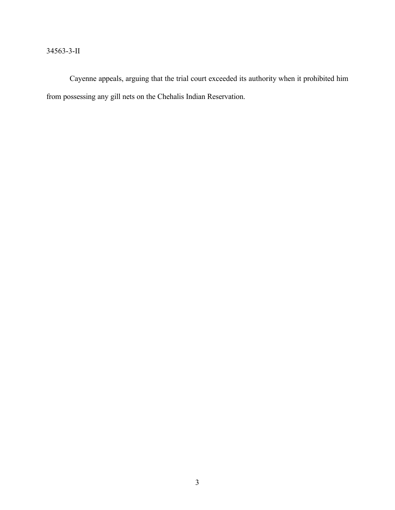# 34563-3-II

Cayenne appeals, arguing that the trial court exceeded its authority when it prohibited him from possessing any gill nets on the Chehalis Indian Reservation.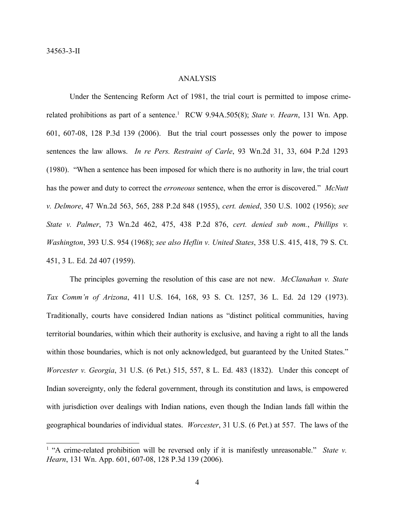# ANALYSIS

Under the Sentencing Reform Act of 1981, the trial court is permitted to impose crimerelated prohibitions as part of a sentence.<sup>1</sup> RCW 9.94A.505(8); *State v. Hearn*, 131 Wn. App. 601, 607-08, 128 P.3d 139 (2006). But the trial court possesses only the power to impose sentences the law allows. *In re Pers. Restraint of Carle*, 93 Wn.2d 31, 33, 604 P.2d 1293 (1980). "When a sentence has been imposed for which there is no authority in law, the trial court has the power and duty to correct the *erroneous* sentence, when the error is discovered." *McNutt v. Delmore*, 47 Wn.2d 563, 565, 288 P.2d 848 (1955), *cert. denied*, 350 U.S. 1002 (1956); *see State v. Palmer*, 73 Wn.2d 462, 475, 438 P.2d 876, *cert. denied sub nom.*, *Phillips v. Washington*, 393 U.S. 954 (1968); *see also Heflin v. United States*, 358 U.S. 415, 418, 79 S. Ct. 451, 3 L. Ed. 2d 407 (1959).

The principles governing the resolution of this case are not new. *McClanahan v. State Tax Comm'n of Arizona*, 411 U.S. 164, 168, 93 S. Ct. 1257, 36 L. Ed. 2d 129 (1973). Traditionally, courts have considered Indian nations as "distinct political communities, having territorial boundaries, within which their authority is exclusive, and having a right to all the lands within those boundaries, which is not only acknowledged, but guaranteed by the United States." *Worcester v. Georgia*, 31 U.S. (6 Pet.) 515, 557, 8 L. Ed. 483 (1832). Under this concept of Indian sovereignty, only the federal government, through its constitution and laws, is empowered with jurisdiction over dealings with Indian nations, even though the Indian lands fall within the geographical boundaries of individual states. *Worcester*, 31 U.S. (6 Pet.) at 557. The laws of the

<sup>&</sup>lt;sup>1</sup> "A crime-related prohibition will be reversed only if it is manifestly unreasonable." *State v. Hearn*, 131 Wn. App. 601, 607-08, 128 P.3d 139 (2006).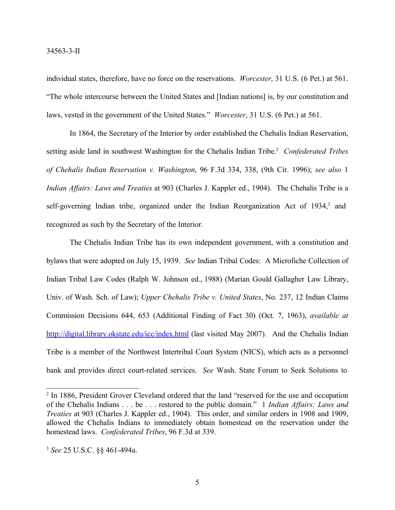individual states, therefore, have no force on the reservations. *Worcester*, 31 U.S. (6 Pet.) at 561. "The whole intercourse between the United States and [Indian nations] is, by our constitution and laws, vested in the government of the United States." *Worcester*, 31 U.S. (6 Pet.) at 561.

In 1864, the Secretary of the Interior by order established the Chehalis Indian Reservation, setting aside land in southwest Washington for the Chehalis Indian Tribe. <sup>2</sup> *Confederated Tribes of Chehalis Indian Reservation v. Washington*, 96 F.3d 334, 338, (9th Cir. 1996); *see also* 1 *Indian Affairs: Laws and Treaties* at 903 (Charles J. Kappler ed., 1904). The Chehalis Tribe is a self-governing Indian tribe, organized under the Indian Reorganization Act of 1934,<sup>3</sup> and recognized as such by the Secretary of the Interior.

The Chehalis Indian Tribe has its own independent government, with a constitution and bylaws that were adopted on July 15, 1939. *See* Indian Tribal Codes: A Microfiche Collection of Indian Tribal Law Codes (Ralph W. Johnson ed., 1988) (Marian Gould Gallagher Law Library, Univ. of Wash. Sch. of Law); *Upper Chehalis Tribe v. United States*, No. 237, 12 Indian Claims Commission Decisions 644, 653 (Additional Finding of Fact 30) (Oct. 7, 1963), *available at* http://digital.library.okstate.edu/icc/index.html (last visited May 2007). And the Chehalis Indian Tribe is a member of the Northwest Intertribal Court System (NICS), which acts as a personnel bank and provides direct court-related services. *See* Wash. State Forum to Seek Solutions to

<sup>&</sup>lt;sup>2</sup> In 1886, President Grover Cleveland ordered that the land "reserved for the use and occupation" of the Chehalis Indians . . . be . . . restored to the public domain." 1 *Indian Affairs: Laws and Treaties* at 903 (Charles J. Kappler ed., 1904). This order, and similar orders in 1908 and 1909, allowed the Chehalis Indians to immediately obtain homestead on the reservation under the homestead laws. *Confederated Tribes*, 96 F.3d at 339.

<sup>3</sup> *See* 25 U.S.C. §§ 461-494a.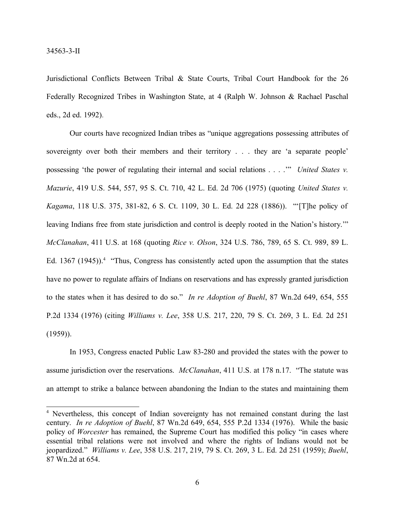Jurisdictional Conflicts Between Tribal & State Courts, Tribal Court Handbook for the 26 Federally Recognized Tribes in Washington State, at 4 (Ralph W. Johnson & Rachael Paschal eds., 2d ed. 1992).

Our courts have recognized Indian tribes as "unique aggregations possessing attributes of sovereignty over both their members and their territory . . . they are 'a separate people' possessing 'the power of regulating their internal and social relations . . . .'" *United States v. Mazurie*, 419 U.S. 544, 557, 95 S. Ct. 710, 42 L. Ed. 2d 706 (1975) (quoting *United States v. Kagama*, 118 U.S. 375, 381-82, 6 S. Ct. 1109, 30 L. Ed. 2d 228 (1886)). "'[T]he policy of leaving Indians free from state jurisdiction and control is deeply rooted in the Nation's history.'" *McClanahan*, 411 U.S. at 168 (quoting *Rice v. Olson*, 324 U.S. 786, 789, 65 S. Ct. 989, 89 L. Ed. 1367 (1945)).<sup>4</sup> "Thus, Congress has consistently acted upon the assumption that the states have no power to regulate affairs of Indians on reservations and has expressly granted jurisdiction to the states when it has desired to do so." *In re Adoption of Buehl*, 87 Wn.2d 649, 654, 555 P.2d 1334 (1976) (citing *Williams v. Lee*, 358 U.S. 217, 220, 79 S. Ct. 269, 3 L. Ed. 2d 251  $(1959)$ ).

In 1953, Congress enacted Public Law 83-280 and provided the states with the power to assume jurisdiction over the reservations. *McClanahan*, 411 U.S. at 178 n.17. "The statute was an attempt to strike a balance between abandoning the Indian to the states and maintaining them

<sup>&</sup>lt;sup>4</sup> Nevertheless, this concept of Indian sovereignty has not remained constant during the last century. *In re Adoption of Buehl*, 87 Wn.2d 649, 654, 555 P.2d 1334 (1976). While the basic policy of *Worcester* has remained, the Supreme Court has modified this policy "in cases where essential tribal relations were not involved and where the rights of Indians would not be jeopardized." *Williams v. Lee*, 358 U.S. 217, 219, 79 S. Ct. 269, 3 L. Ed. 2d 251 (1959); *Buehl*, 87 Wn.2d at 654.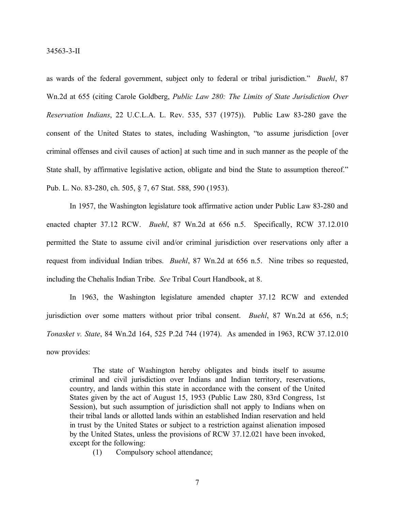as wards of the federal government, subject only to federal or tribal jurisdiction." *Buehl*, 87 Wn.2d at 655 (citing Carole Goldberg, *Public Law 280: The Limits of State Jurisdiction Over Reservation Indians*, 22 U.C.L.A. L. Rev. 535, 537 (1975)). Public Law 83-280 gave the consent of the United States to states, including Washington, "to assume jurisdiction [over criminal offenses and civil causes of action] at such time and in such manner as the people of the State shall, by affirmative legislative action, obligate and bind the State to assumption thereof." Pub. L. No. 83-280, ch. 505, § 7, 67 Stat. 588, 590 (1953).

In 1957, the Washington legislature took affirmative action under Public Law 83-280 and enacted chapter 37.12 RCW. *Buehl*, 87 Wn.2d at 656 n.5. Specifically, RCW 37.12.010 permitted the State to assume civil and/or criminal jurisdiction over reservations only after a request from individual Indian tribes. *Buehl*, 87 Wn.2d at 656 n.5. Nine tribes so requested, including the Chehalis Indian Tribe. *See* Tribal Court Handbook, at 8.

In 1963, the Washington legislature amended chapter 37.12 RCW and extended jurisdiction over some matters without prior tribal consent. *Buehl*, 87 Wn.2d at 656, n.5; *Tonasket v. State*, 84 Wn.2d 164, 525 P.2d 744 (1974). As amended in 1963, RCW 37.12.010 now provides:

The state of Washington hereby obligates and binds itself to assume criminal and civil jurisdiction over Indians and Indian territory, reservations, country, and lands within this state in accordance with the consent of the United States given by the act of August 15, 1953 (Public Law 280, 83rd Congress, 1st Session), but such assumption of jurisdiction shall not apply to Indians when on their tribal lands or allotted lands within an established Indian reservation and held in trust by the United States or subject to a restriction against alienation imposed by the United States, unless the provisions of RCW 37.12.021 have been invoked, except for the following:

(1) Compulsory school attendance;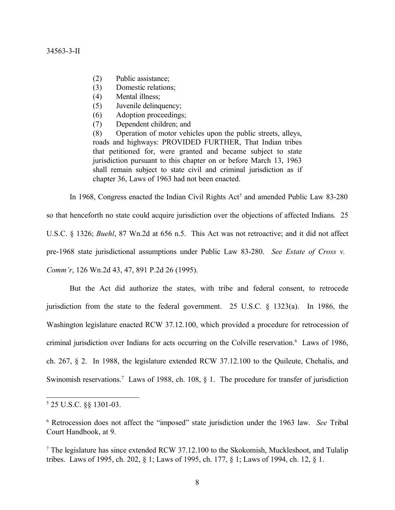### 34563-3-II

- (2) Public assistance;
- (3) Domestic relations;
- (4) Mental illness;
- (5) Juvenile delinquency;
- (6) Adoption proceedings;
- (7) Dependent children; and

(8) Operation of motor vehicles upon the public streets, alleys, roads and highways: PROVIDED FURTHER, That Indian tribes that petitioned for, were granted and became subject to state jurisdiction pursuant to this chapter on or before March 13, 1963 shall remain subject to state civil and criminal jurisdiction as if chapter 36, Laws of 1963 had not been enacted.

In 1968, Congress enacted the Indian Civil Rights Act<sup>5</sup> and amended Public Law 83-280 so that henceforth no state could acquire jurisdiction over the objections of affected Indians. 25 U.S.C. § 1326; *Buehl*, 87 Wn.2d at 656 n.5. This Act was not retroactive; and it did not affect pre-1968 state jurisdictional assumptions under Public Law 83-280. *See Estate of Cross v. Comm'r*, 126 Wn.2d 43, 47, 891 P.2d 26 (1995).

But the Act did authorize the states, with tribe and federal consent, to retrocede jurisdiction from the state to the federal government. 25 U.S.C. § 1323(a). In 1986, the Washington legislature enacted RCW 37.12.100, which provided a procedure for retrocession of criminal jurisdiction over Indians for acts occurring on the Colville reservation.<sup>6</sup> Laws of 1986, ch. 267, § 2. In 1988, the legislature extended RCW 37.12.100 to the Quileute, Chehalis, and Swinomish reservations.<sup>7</sup> Laws of 1988, ch. 108, § 1. The procedure for transfer of jurisdiction

<sup>5</sup> 25 U.S.C. §§ 1301-03.

<sup>6</sup> Retrocession does not affect the "imposed" state jurisdiction under the 1963 law. *See* Tribal Court Handbook, at 9.

 $7$  The legislature has since extended RCW 37.12.100 to the Skokomish, Muckleshoot, and Tulalip tribes. Laws of 1995, ch. 202, § 1; Laws of 1995, ch. 177, § 1; Laws of 1994, ch. 12, § 1.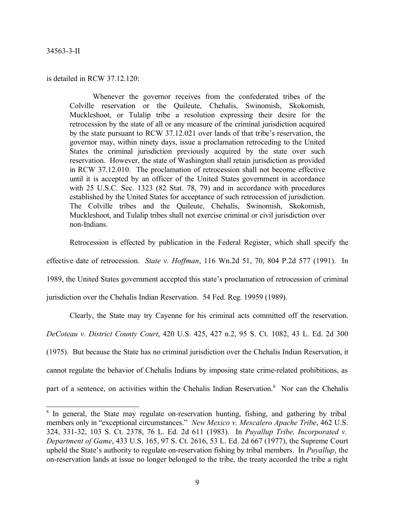## 34563-3-II

### is detailed in RCW 37.12.120:

Whenever the governor receives from the confederated tribes of the Colville reservation or the Quileute, Chehalis, Swinomish, Skokomish, Muckleshoot, or Tulalip tribe a resolution expressing their desire for the retrocession by the state of all or any measure of the criminal jurisdiction acquired by the state pursuant to RCW 37.12.021 over lands of that tribe's reservation, the governor may, within ninety days, issue a proclamation retroceding to the United States the criminal jurisdiction previously acquired by the state over such reservation. However, the state of Washington shall retain jurisdiction as provided in RCW 37.12.010. The proclamation of retrocession shall not become effective until it is accepted by an officer of the United States government in accordance with 25 U.S.C. Sec. 1323 (82 Stat. 78, 79) and in accordance with procedures established by the United States for acceptance of such retrocession of jurisdiction. The Colville tribes and the Quileute, Chehalis, Swinomish, Skokomish, Muckleshoot, and Tulalip tribes shall not exercise criminal or civil jurisdiction over non-Indians.

Retrocession is effected by publication in the Federal Register, which shall specify the

effective date of retrocession. *State v. Hoffman*, 116 Wn.2d 51, 70, 804 P.2d 577 (1991). In

1989, the United States government accepted this state's proclamation of retrocession of criminal

jurisdiction over the Chehalis Indian Reservation. 54 Fed. Reg. 19959 (1989).

Clearly, the State may try Cayenne for his criminal acts committed off the reservation.

*DeCoteau v. District County Court*, 420 U.S. 425, 427 n.2, 95 S. Ct. 1082, 43 L. Ed. 2d 300

(1975). But because the State has no criminal jurisdiction over the Chehalis Indian Reservation, it

cannot regulate the behavior of Chehalis Indians by imposing state crime-related prohibitions, as

part of a sentence, on activities within the Chehalis Indian Reservation.<sup>8</sup> Nor can the Chehalis

<sup>&</sup>lt;sup>8</sup> In general, the State may regulate on-reservation hunting, fishing, and gathering by tribal members only in "exceptional circumstances." *New Mexico v. Mescalero Apache Tribe*, 462 U.S. 324, 331-32, 103 S. Ct. 2378, 76 L. Ed. 2d 611 (1983). In *Puyallup Tribe, Incorporated v. Department of Game*, 433 U.S. 165, 97 S. Ct. 2616, 53 L. Ed. 2d 667 (1977), the Supreme Court upheld the State's authority to regulate on-reservation fishing by tribal members. In *Puyallup*, the on-reservation lands at issue no longer belonged to the tribe, the treaty accorded the tribe a right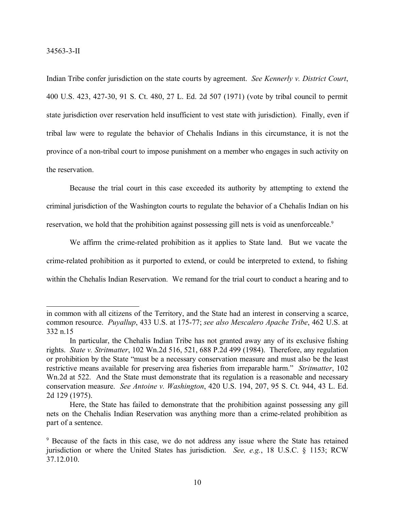Indian Tribe confer jurisdiction on the state courts by agreement. *See Kennerly v. District Court*, 400 U.S. 423, 427-30, 91 S. Ct. 480, 27 L. Ed. 2d 507 (1971) (vote by tribal council to permit state jurisdiction over reservation held insufficient to vest state with jurisdiction). Finally, even if tribal law were to regulate the behavior of Chehalis Indians in this circumstance, it is not the province of a non-tribal court to impose punishment on a member who engages in such activity on the reservation.

Because the trial court in this case exceeded its authority by attempting to extend the criminal jurisdiction of the Washington courts to regulate the behavior of a Chehalis Indian on his reservation, we hold that the prohibition against possessing gill nets is void as unenforceable.<sup>9</sup>

We affirm the crime-related prohibition as it applies to State land. But we vacate the crime-related prohibition as it purported to extend, or could be interpreted to extend, to fishing within the Chehalis Indian Reservation. We remand for the trial court to conduct a hearing and to

in common with all citizens of the Territory, and the State had an interest in conserving a scarce, common resource. *Puyallup*, 433 U.S. at 175-77; *see also Mescalero Apache Tribe*, 462 U.S. at 332 n.15

In particular, the Chehalis Indian Tribe has not granted away any of its exclusive fishing rights. *State v. Stritmatter*, 102 Wn.2d 516, 521, 688 P.2d 499 (1984). Therefore, any regulation or prohibition by the State "must be a necessary conservation measure and must also be the least restrictive means available for preserving area fisheries from irreparable harm." *Stritmatter*, 102 Wn.2d at 522. And the State must demonstrate that its regulation is a reasonable and necessary conservation measure. *See Antoine v. Washington*, 420 U.S. 194, 207, 95 S. Ct. 944, 43 L. Ed. 2d 129 (1975).

Here, the State has failed to demonstrate that the prohibition against possessing any gill nets on the Chehalis Indian Reservation was anything more than a crime-related prohibition as part of a sentence.

<sup>9</sup> Because of the facts in this case, we do not address any issue where the State has retained jurisdiction or where the United States has jurisdiction. *See, e.g.*, 18 U.S.C. § 1153; RCW 37.12.010.